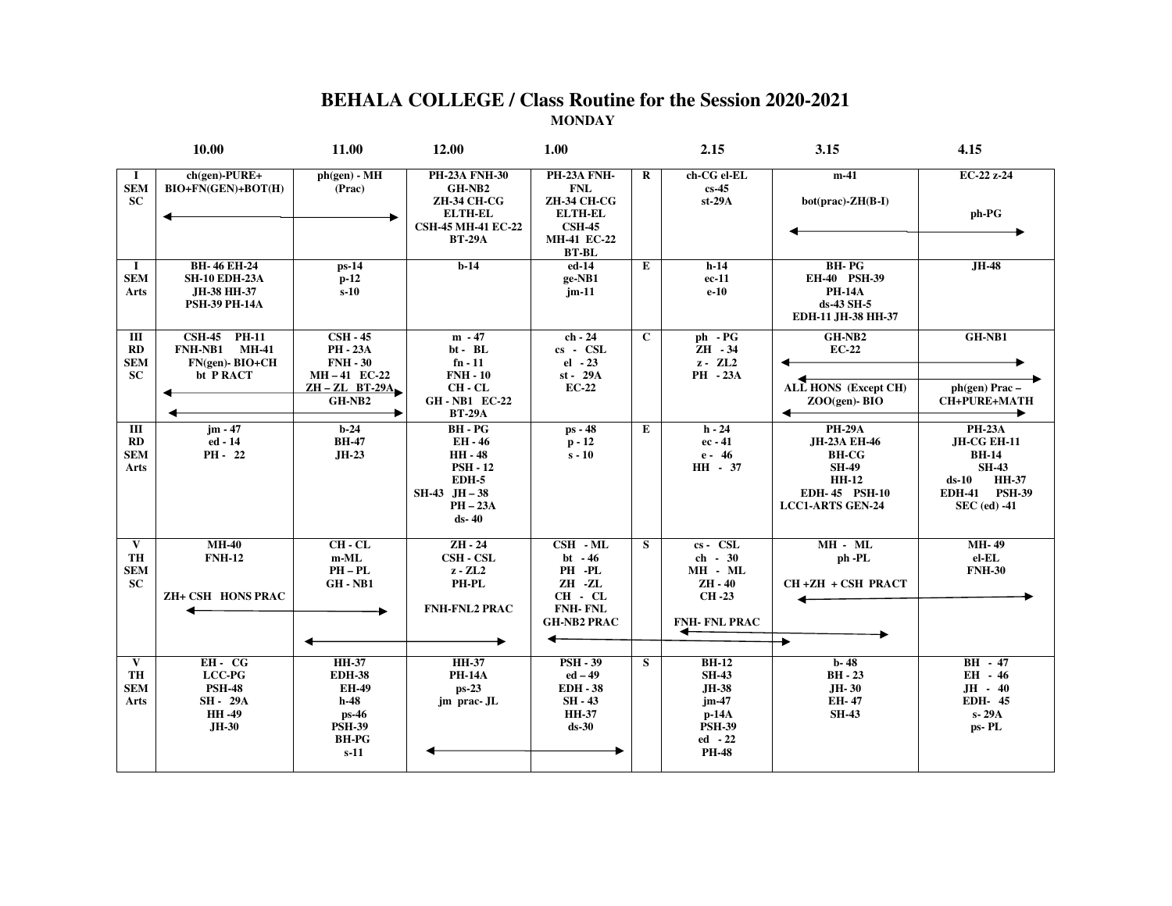## **BEHALA COLLEGE / Class Routine for the Session 2020-2021 MONDAY**

|                                                          | <b>10.00</b>                                                                      | 11.00                                                                                                           | 12.00                                                                                                                            | 1.00                                                                                                                       |             | 2.15                                                                                                     | 3.15                                                                                                                      | 4.15                                                                                                                            |
|----------------------------------------------------------|-----------------------------------------------------------------------------------|-----------------------------------------------------------------------------------------------------------------|----------------------------------------------------------------------------------------------------------------------------------|----------------------------------------------------------------------------------------------------------------------------|-------------|----------------------------------------------------------------------------------------------------------|---------------------------------------------------------------------------------------------------------------------------|---------------------------------------------------------------------------------------------------------------------------------|
| -1<br><b>SEM</b><br><b>SC</b>                            | $ch(gen)-PURE+$<br>BIO+FN(GEN)+BOT(H)                                             | $ph(gen) - MH$<br>(Prac)                                                                                        | <b>PH-23A FNH-30</b><br>GH-NB <sub>2</sub><br><b>ZH-34 CH-CG</b><br><b>ELTH-EL</b><br><b>CSH-45 MH-41 EC-22</b><br><b>BT-29A</b> | PH-23A FNH-<br><b>FNL</b><br><b>ZH-34 CH-CG</b><br><b>ELTH-EL</b><br>$\text{CSH-45}$<br><b>MH-41 EC-22</b><br><b>BT-BL</b> | $\bf{R}$    | ch-CG el-EL<br>$cs-45$<br>$st-29A$                                                                       | $m-41$<br>$bot(prac)$ - $ZH(B-I)$                                                                                         | EC-22 z-24<br>ph-PG                                                                                                             |
| $\bf{I}$<br><b>SEM</b><br>Arts                           | <b>BH-46 EH-24</b><br><b>SH-10 EDH-23A</b><br>JH-38 HH-37<br><b>PSH-39 PH-14A</b> | $ps-14$<br>$p-12$<br>$s-10$                                                                                     | $b-14$                                                                                                                           | ed-14<br>ge-NB1<br>$jm-11$                                                                                                 | E           | $h-14$<br>$ec-11$<br>$e-10$                                                                              | <b>BH-PG</b><br>EH-40 PSH-39<br><b>PH-14A</b><br>ds-43 SH-5<br>EDH-11 JH-38 HH-37                                         | $JH-48$                                                                                                                         |
| Ш<br>RD<br><b>SEM</b><br><b>SC</b>                       | <b>CSH-45 PH-11</b><br><b>FNH-NB1 MH-41</b><br>FN(gen)-BIO+CH<br>bt PRACT         | $\overline{\text{CSH}}$ - 45<br><b>PH-23A</b><br><b>FNH - 30</b><br>MH-41 EC-22<br>$ZH - ZL$ BT-29A<br>$GH-NB2$ | $m - 47$<br>bt - BL<br>$fn - 11$<br>$FNH - 10$<br>CH - CL<br><b>GH-NB1 EC-22</b><br><b>BT-29A</b>                                | ch - 24<br>$cs - CSL$<br>$el - 23$<br>st - 29A<br>$EC-22$                                                                  | $\mathbf C$ | ph - PG<br>$ZH - 34$<br>$z - ZL2$<br>PH - 23A                                                            | GH-NB2<br>$EC-22$<br>ALL HONS (Except CH)<br>$ZOO$ (gen)- $BIO$                                                           | GH-NB1<br>ph(gen) Prac-<br><b>CH+PURE+MATH</b>                                                                                  |
| $\overline{m}$<br>RD<br><b>SEM</b><br><b>Arts</b>        | $jm - 47$<br>ed - 14<br>PH - 22                                                   | $b-24$<br><b>BH-47</b><br>$JH-23$                                                                               | $BH - PG$<br>EH - 46<br><b>HH-48</b><br><b>PSH - 12</b><br>EDH-5<br>$SH-43$ JH $-38$<br>$PH - 23A$<br>$ds - 40$                  | ps - 48<br>$p - 12$<br>$s - 10$                                                                                            | E           | $h - 24$<br>$ec - 41$<br>e - 46<br>HH - 37                                                               | <b>PH-29A</b><br>JH-23A EH-46<br><b>BH-CG</b><br><b>SH-49</b><br><b>HH-12</b><br>EDH-45 PSH-10<br><b>LCC1-ARTS GEN-24</b> | <b>PH-23A</b><br>JH-CG EH-11<br><b>BH-14</b><br><b>SH-43</b><br><b>HH-37</b><br>$ds-10$<br>EDH-41 PSH-39<br><b>SEC</b> (ed) -41 |
| $\overline{\mathbf{v}}$<br>TH<br><b>SEM</b><br><b>SC</b> | $MH-40$<br><b>FNH-12</b><br>ZH+ CSH HONS PRAC                                     | $CH - CL$<br>$m-ML$<br>$PH-PL$<br>GH-NB1                                                                        | $\overline{ZH} - 24$<br><b>CSH - CSL</b><br>$z - ZL2$<br>PH-PL<br><b>FNH-FNL2 PRAC</b>                                           | $CSH - ML$<br>bt $-46$<br>PH -PL<br>ZH -ZL<br>$CH$ - $CL$<br><b>FNH-FNL</b><br><b>GH-NB2 PRAC</b>                          | S           | $cs - CSL$<br>ch - 30<br>MH - ML<br><b>ZH - 40</b><br><b>CH-23</b><br><b>FNH-FNL PRAC</b><br>←           | $MH - ML$<br>ph -PL<br>CH+ZH + CSH PRACT<br>$\ddot{\phantom{1}}$                                                          | <b>MH-49</b><br>el-EL<br><b>FNH-30</b>                                                                                          |
| $\mathbf{V}$<br>TH<br><b>SEM</b><br>Arts                 | $EH - CG$<br>LCC-PG<br><b>PSH-48</b><br>SH-29A<br><b>HH-49</b><br><b>JH-30</b>    | <b>HH-37</b><br><b>EDH-38</b><br><b>EH-49</b><br>$h-48$<br>ps-46<br><b>PSH-39</b><br><b>BH-PG</b><br>$s-11$     | <b>HH-37</b><br><b>PH-14A</b><br>$ps-23$<br>jm prac-JL                                                                           | $PSH - 39$<br>$ed - 49$<br><b>EDH - 38</b><br>SH - 43<br><b>HH-37</b><br>$ds-30$                                           | S           | <b>BH-12</b><br><b>SH-43</b><br>JH-38<br>$jm-47$<br>$p-14A$<br><b>PSH-39</b><br>$ed -22$<br><b>PH-48</b> | $b-48$<br><b>BH-23</b><br>JH-30<br>EH-47<br><b>SH-43</b>                                                                  | $BH - 47$<br>EH - 46<br>$JH - 40$<br><b>EDH-45</b><br>$s-29A$<br>ps-PL                                                          |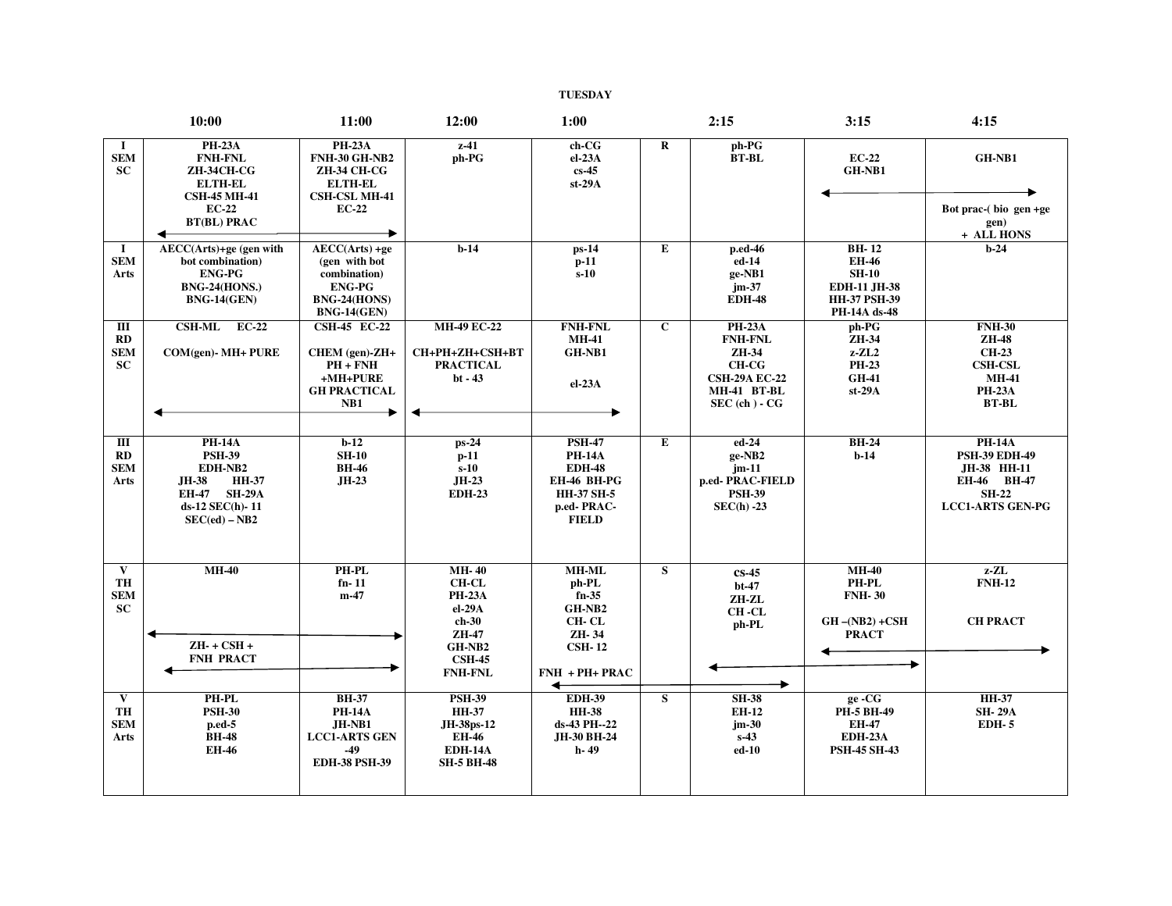## **TUESDAY**

|                                            | 10:00                                                                                                                          | 11:00                                                                                                                              | 12:00                                                                                                                | 1:00                                                                                                       |                         | 2:15                                                                                                          | 3:15                                                                                                  | 4:15                                                                                                             |
|--------------------------------------------|--------------------------------------------------------------------------------------------------------------------------------|------------------------------------------------------------------------------------------------------------------------------------|----------------------------------------------------------------------------------------------------------------------|------------------------------------------------------------------------------------------------------------|-------------------------|---------------------------------------------------------------------------------------------------------------|-------------------------------------------------------------------------------------------------------|------------------------------------------------------------------------------------------------------------------|
| 1<br><b>SEM</b><br><b>SC</b>               | <b>PH-23A</b><br><b>FNH-FNL</b><br><b>ZH-34CH-CG</b><br><b>ELTH-EL</b><br><b>CSH-45 MH-41</b><br>$EC-22$<br><b>BT(BL) PRAC</b> | <b>PH-23A</b><br><b>FNH-30 GH-NB2</b><br><b>ZH-34 CH-CG</b><br><b>ELTH-EL</b><br><b>CSH-CSL MH-41</b><br><b>EC-22</b>              | $z-41$<br>ph-PG                                                                                                      | ch-CG<br>$el-23A$<br>$cs-45$<br>$st-29A$                                                                   | R                       | ph-PG<br><b>BT-BL</b>                                                                                         | $EC-22$<br>GH-NB1                                                                                     | GH-NB1<br>Bot prac- $(bio gen +ge)$<br>gen)<br>+ ALL HONS                                                        |
| $\bf{I}$<br><b>SEM</b><br>Arts             | AECC(Arts)+ge (gen with<br>bot combination)<br><b>ENG-PG</b><br><b>BNG-24(HONS.)</b><br><b>BNG-14(GEN)</b>                     | $\overline{\text{AECC(Arts)} + \text{ge}}$<br>(gen with bot<br>combination)<br><b>ENG-PG</b><br>BNG-24(HONS)<br><b>BNG-14(GEN)</b> | $b-14$                                                                                                               | $ps-14$<br>$p-11$<br>$s-10$                                                                                | E                       | p.ed-46<br>ed-14<br>ge-NB1<br>$jm-37$<br><b>EDH-48</b>                                                        | <b>BH-12</b><br><b>EH-46</b><br>$SH-10$<br><b>EDH-11 JH-38</b><br><b>HH-37 PSH-39</b><br>PH-14A ds-48 | $b-24$                                                                                                           |
| Ш<br>RD<br><b>SEM</b><br><b>SC</b>         | CSH-ML EC-22<br>COM(gen)- MH+ PURE                                                                                             | <b>CSH-45 EC-22</b><br>CHEM (gen)-ZH+<br>$PH + FNH$<br>+MH+PURE<br><b>GH PRACTICAL</b><br>NB1                                      | <b>MH-49 EC-22</b><br>CH+PH+ZH+CSH+BT<br><b>PRACTICAL</b><br>$bt - 43$                                               | <b>FNH-FNL</b><br><b>MH-41</b><br>GH-NB1<br>$el-23A$                                                       | $\mathbf{C}$            | <b>PH-23A</b><br><b>FNH-FNL</b><br>ZH-34<br>$CH-CG$<br><b>CSH-29A EC-22</b><br>MH-41 BT-BL<br>$SEC (ch) - CG$ | ph-PG<br>ZH-34<br>$z$ - $ZL2$<br><b>PH-23</b><br><b>GH-41</b><br>$st-29A$                             | <b>FNH-30</b><br><b>ZH-48</b><br><b>CH-23</b><br><b>CSH-CSL</b><br><b>MH-41</b><br><b>PH-23A</b><br><b>BT-BL</b> |
| $\overline{m}$<br>RD<br><b>SEM</b><br>Arts | <b>PH-14A</b><br><b>PSH-39</b><br>EDH-NB2<br><b>HH-37</b><br>JH-38<br>EH-47 SH-29A<br>ds-12 SEC(h)-11<br>$SEC(ed) - NB2$       | $b-12$<br><b>SH-10</b><br><b>BH-46</b><br>JH-23                                                                                    | $ps-24$<br>$p-11$<br>$s-10$<br>$JH-23$<br><b>EDH-23</b>                                                              | <b>PSH-47</b><br><b>PH-14A</b><br><b>EDH-48</b><br>EH-46 BH-PG<br>HH-37 SH-5<br>p.ed-PRAC-<br><b>FIELD</b> | E                       | $ed-24$<br>ge-NB2<br>$jm-11$<br>p.ed-PRAC-FIELD<br><b>PSH-39</b><br>$SEC(h) -23$                              | <b>BH-24</b><br>$b-14$                                                                                | <b>PH-14A</b><br><b>PSH-39 EDH-49</b><br>JH-38 HH-11<br>EH-46 BH-47<br><b>SH-22</b><br><b>LCC1-ARTS GEN-PG</b>   |
| V<br>TH<br>${\bf SEM}$<br><b>SC</b>        | $MH-40$<br>$ZH-+CSH+$<br><b>FNH PRACT</b>                                                                                      | PH-PL<br>$fn-11$<br>$m-47$                                                                                                         | <b>MH-40</b><br><b>CH-CL</b><br><b>PH-23A</b><br>el-29A<br>$ch-30$<br>$ZH-47$<br>GH-NB2<br><b>CSH-45</b>             | <b>MH-ML</b><br>ph-PL<br>$fn-35$<br>GH-NB <sub>2</sub><br>CH-CL<br>ZH-34<br><b>CSH-12</b>                  | S                       | $cs-45$<br>$bt-47$<br>ZH-ZL<br>CH-CL<br>ph-PL                                                                 | $MH-40$<br><b>PH-PL</b><br><b>FNH-30</b><br>$GH - (NB2) + CSH$<br><b>PRACT</b>                        | $z$ - $ZL$<br><b>FNH-12</b><br><b>CH PRACT</b>                                                                   |
| $\mathbf{V}$<br>TH<br><b>SEM</b><br>Arts   | <b>PH-PL</b><br><b>PSH-30</b><br>$p.edu-5$<br><b>BH-48</b><br><b>EH-46</b>                                                     | <b>BH-37</b><br><b>PH-14A</b><br>$JH-NB1$<br><b>LCC1-ARTS GEN</b><br>-49<br><b>EDH-38 PSH-39</b>                                   | <b>FNH-FNL</b><br><b>PSH-39</b><br><b>HH-37</b><br>JH-38ps-12<br><b>EH-46</b><br><b>EDH-14A</b><br><b>SH-5 BH-48</b> | FNH + PH+ PRAC<br>↞<br><b>EDH-39</b><br><b>HH-38</b><br>ds-43 PH--22<br>JH-30 BH-24<br>h-49                | $\overline{\mathbf{s}}$ | <b>SH-38</b><br><b>EH-12</b><br>$jm-30$<br>$s-43$<br>ed-10                                                    | ge-CG<br><b>PH-5 BH-49</b><br><b>EH-47</b><br><b>EDH-23A</b><br><b>PSH-45 SH-43</b>                   | <b>HH-37</b><br><b>SH-29A</b><br><b>EDH-5</b>                                                                    |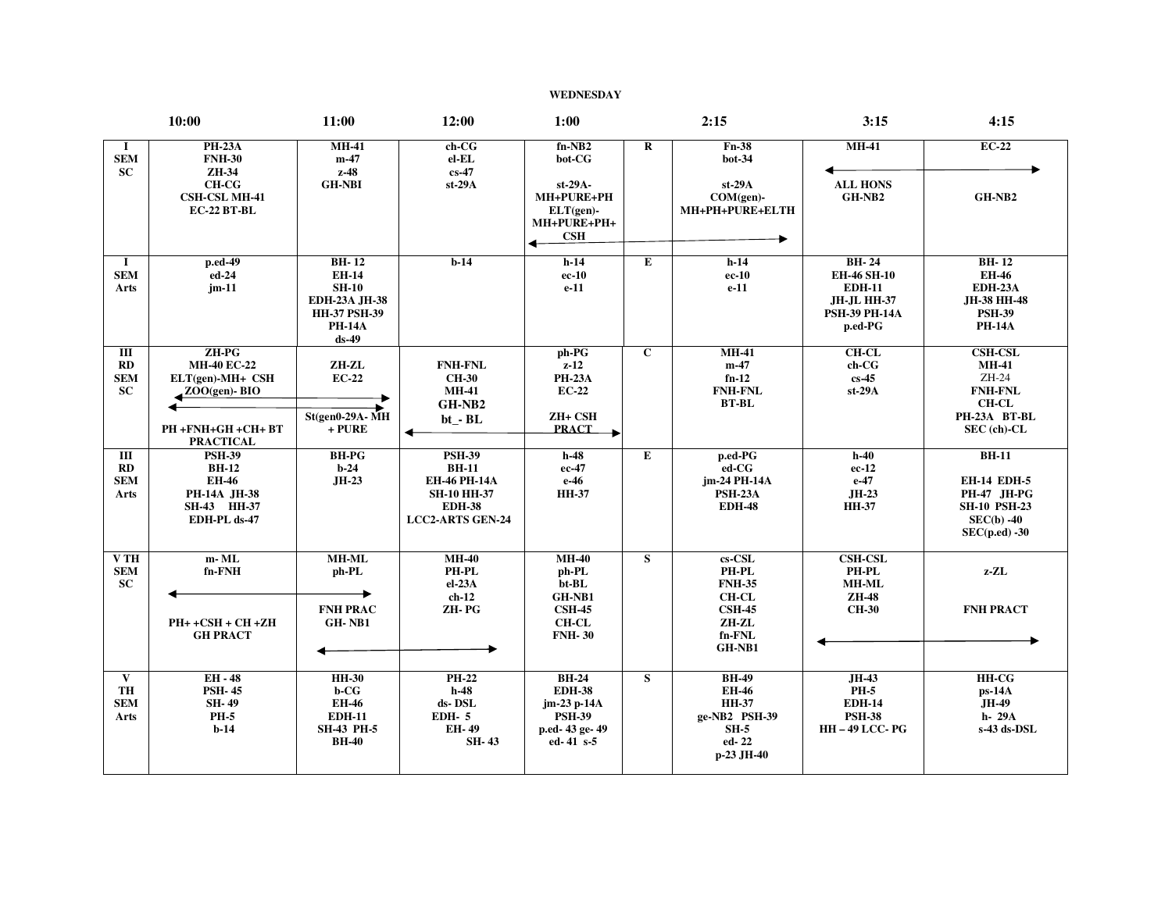## **WEDNESDAY**

|                                            | 10:00                                                                                                          | 11:00                                                                                                              | 12:00                                                                                                                  | 1:00                                                                                        |              | 2:15                                                                                                | 3:15                                                                                                         | 4:15                                                                                                           |
|--------------------------------------------|----------------------------------------------------------------------------------------------------------------|--------------------------------------------------------------------------------------------------------------------|------------------------------------------------------------------------------------------------------------------------|---------------------------------------------------------------------------------------------|--------------|-----------------------------------------------------------------------------------------------------|--------------------------------------------------------------------------------------------------------------|----------------------------------------------------------------------------------------------------------------|
| $\bf{I}$<br><b>SEM</b><br><b>SC</b>        | <b>PH-23A</b><br><b>FNH-30</b><br>ZH-34<br><b>CH-CG</b><br><b>CSH-CSL MH-41</b><br>EC-22 BT-BL                 | <b>MH-41</b><br>$m-47$<br>$z-48$<br><b>GH-NBI</b>                                                                  | $ch-CG$<br>el-EL<br>$cs-47$<br>$st-29A$                                                                                | $fn-NB2$<br>bot-CG<br>st-29A-<br>MH+PURE+PH<br>$ELT(gen)$ -<br>MH+PURE+PH+<br>CSH           | $\bf R$      | Fn-38<br>$bot-34$<br>$st-29A$<br>$COM(gen)$ -<br>MH+PH+PURE+ELTH                                    | $MH-41$<br><b>ALL HONS</b><br>GH-NB2                                                                         | $EC-22$<br>GH-NB2                                                                                              |
| $\bf{I}$<br><b>SEM</b><br>Arts             | p.ed-49<br>ed-24<br>$jm-11$                                                                                    | $BH-12$<br><b>EH-14</b><br><b>SH-10</b><br><b>EDH-23A JH-38</b><br><b>HH-37 PSH-39</b><br><b>PH-14A</b><br>$ds-49$ | $b-14$                                                                                                                 | $h-14$<br>ec-10<br>$e-11$                                                                   | E            | $h-14$<br>$ec-10$<br>$e-11$                                                                         | <b>BH-24</b><br><b>EH-46 SH-10</b><br><b>EDH-11</b><br><b>JH-JL HH-37</b><br><b>PSH-39 PH-14A</b><br>p.ed-PG | <b>BH-12</b><br><b>EH-46</b><br><b>EDH-23A</b><br>JH-38 HH-48<br><b>PSH-39</b><br><b>PH-14A</b>                |
| Ш<br>RD<br><b>SEM</b><br>SC                | ZH-PG<br><b>MH-40 EC-22</b><br>$ELT(gen)-MH+CSH$<br>$ZOO(qen)$ - BIO<br>PH +FNH+GH +CH+ BT<br><b>PRACTICAL</b> | ZH-ZL<br>$EC-22$<br><b>St(gen0-29A-MH</b><br>$+$ PURE                                                              | <b>FNH-FNL</b><br><b>CH-30</b><br><b>MH-41</b><br>GH-NB2<br>bt_-BL                                                     | ph-PG<br>$z-12$<br><b>PH-23A</b><br>$EC-22$<br>ZH+ CSH<br><b>PRACT</b><br>×                 | $\mathbf{C}$ | <b>MH-41</b><br>$m-47$<br>$fn-12$<br><b>FNH-FNL</b><br><b>BT-BL</b>                                 | <b>CH-CL</b><br>ch-CG<br>$cs-45$<br>$st-29A$                                                                 | <b>CSH-CSL</b><br><b>MH-41</b><br>ZH-24<br><b>FNH-FNL</b><br><b>CH-CL</b><br>PH-23A BT-BL<br>SEC (ch)-CL       |
| Ш<br>RD<br><b>SEM</b><br>Arts              | <b>PSH-39</b><br><b>BH-12</b><br><b>EH-46</b><br>PH-14A JH-38<br>SH-43 HH-37<br>EDH-PL ds-47                   | <b>BH-PG</b><br>$b-24$<br>JH-23                                                                                    | <b>PSH-39</b><br><b>BH-11</b><br><b>EH-46 PH-14A</b><br><b>SH-10 HH-37</b><br><b>EDH-38</b><br><b>LCC2-ARTS GEN-24</b> | $h-48$<br>ec-47<br>e-46<br><b>HH-37</b>                                                     | Е            | p.ed-PG<br>$ed$ - $CG$<br>jm-24 PH-14A<br><b>PSH-23A</b><br><b>EDH-48</b>                           | $h-40$<br>$ec-12$<br>$e-47$<br>JH-23<br><b>HH-37</b>                                                         | $BH-11$<br><b>EH-14 EDH-5</b><br><b>PH-47</b> JH-PG<br><b>SH-10 PSH-23</b><br>$SEC(b) -40$<br>$SEC(p.edu) -30$ |
| V <sub>TH</sub><br><b>SEM</b><br><b>SC</b> | m-ML<br>fn-FNH<br>$PH++CSH+CH+ZH$<br><b>GH PRACT</b>                                                           | <b>MH-ML</b><br>ph-PL<br><b>FNH PRAC</b><br>GH-NB1                                                                 | $MH-40$<br>PH-PL<br>$el-23A$<br>$ch-12$<br>ZH-PG                                                                       | $MH-40$<br>ph-PL<br>bt-BL<br>GH-NB1<br><b>CSH-45</b><br><b>CH-CL</b><br><b>FNH-30</b>       | S            | $cs$ -CSL<br>PH-PL<br><b>FNH-35</b><br><b>CH-CL</b><br>$\text{CSH-45}$<br>ZH-ZL<br>fn-FNL<br>GH-NB1 | <b>CSH-CSL</b><br>PH-PL<br>MH-ML<br><b>ZH-48</b><br><b>CH-30</b>                                             | z-ZL<br><b>FNH PRACT</b>                                                                                       |
| $\mathbf{V}$<br>TH<br><b>SEM</b><br>Arts   | $EH - 48$<br><b>PSH-45</b><br><b>SH-49</b><br><b>PH-5</b><br>$b-14$                                            | <b>HH-30</b><br>b-CG<br><b>EH-46</b><br><b>EDH-11</b><br><b>SH-43 PH-5</b><br><b>BH-40</b>                         | <b>PH-22</b><br>$h-48$<br>ds-DSL<br><b>EDH-5</b><br>EH-49<br><b>SH-43</b>                                              | <b>BH-24</b><br><b>EDH-38</b><br>jm-23 p-14A<br><b>PSH-39</b><br>p.ed-43 ge-49<br>ed-41 s-5 | S            | <b>BH-49</b><br><b>EH-46</b><br><b>HH-37</b><br>ge-NB2 PSH-39<br>$SH-5$<br>ed-22<br>p-23 JH-40      | JH-43<br><b>PH-5</b><br><b>EDH-14</b><br><b>PSH-38</b><br><b>HH-49 LCC-PG</b>                                | <b>HH-CG</b><br>ps-14A<br>JH-49<br>h- 29A<br>s-43 ds-DSL                                                       |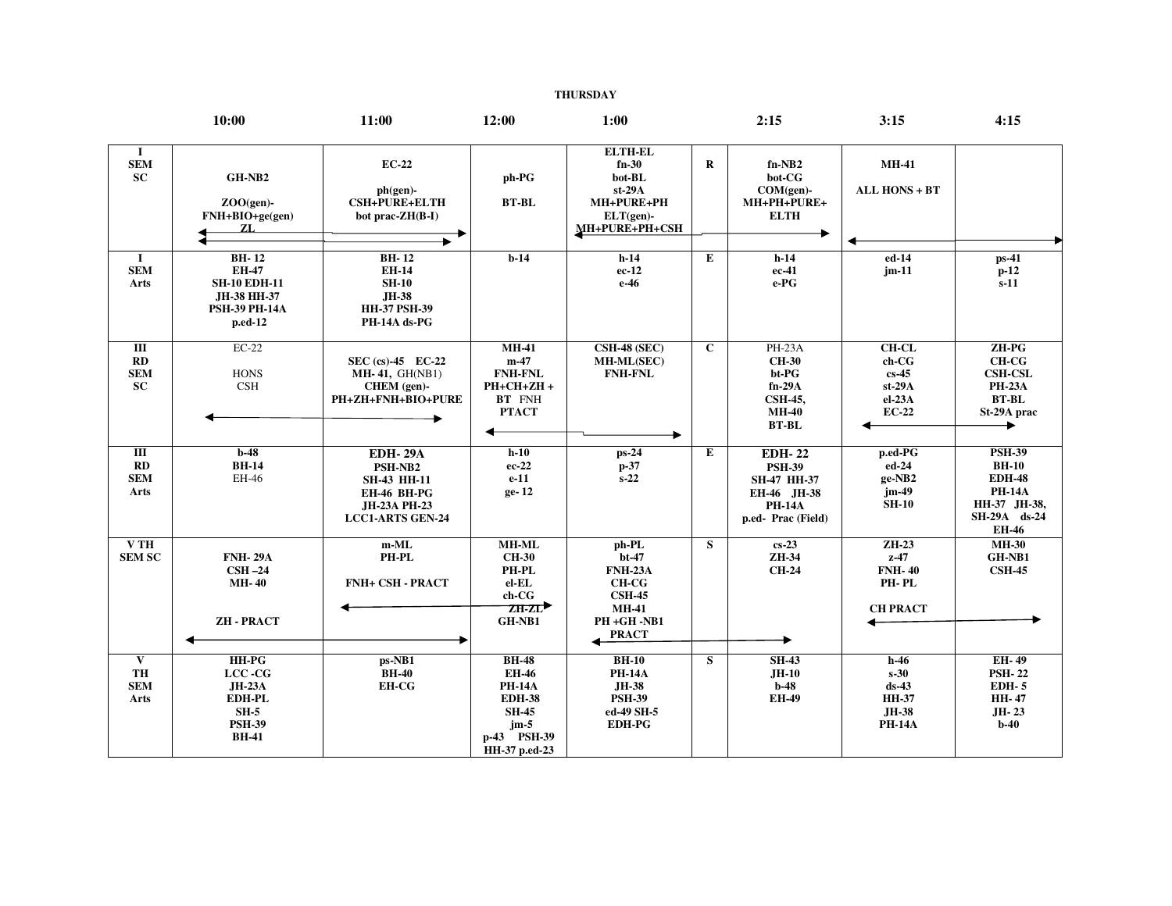## **THURSDAY**

|                                                         | 10:00                                                                                            | 11:00                                                                                                     | 12:00                                                                                                                    | 1:00                                                                                                             |              | 2:15                                                                                               | 3:15                                                                         | 4:15                                                                                                            |
|---------------------------------------------------------|--------------------------------------------------------------------------------------------------|-----------------------------------------------------------------------------------------------------------|--------------------------------------------------------------------------------------------------------------------------|------------------------------------------------------------------------------------------------------------------|--------------|----------------------------------------------------------------------------------------------------|------------------------------------------------------------------------------|-----------------------------------------------------------------------------------------------------------------|
| <b>I</b><br><b>SEM</b><br>SC                            | GH-NB2<br>$ZOO(qen)$ -<br>FNH+BIO+ge(gen)<br>ZL.                                                 | <b>EC-22</b><br>$ph(gen)$ -<br><b>CSH+PURE+ELTH</b><br>bot prac-ZH(B-I)                                   | ph-PG<br><b>BT-BL</b>                                                                                                    | <b>ELTH-EL</b><br>$fn-30$<br>$\bf{bot}\text{-}\bf{BL}$<br>$st-29A$<br>MH+PURE+PH<br>ELT(gen)-<br>MH+PURE+PH+CSH  | $\mathbf{R}$ | $fn-NB2$<br>$bot-CG$<br>$COM(gen)$ -<br>MH+PH+PURE+<br><b>ELTH</b>                                 | <b>MH-41</b><br>ALL HONS + BT                                                |                                                                                                                 |
| $\bf{I}$<br><b>SEM</b><br>Arts                          | $BH-12$<br><b>EH-47</b><br><b>SH-10 EDH-11</b><br>JH-38 HH-37<br><b>PSH-39 PH-14A</b><br>p.ed-12 | $BH-12$<br><b>EH-14</b><br><b>SH-10</b><br><b>JH-38</b><br><b>HH-37 PSH-39</b><br>PH-14A ds-PG            | $b-14$                                                                                                                   | $h-14$<br>$ec-12$<br>e-46                                                                                        | E            | $h-14$<br>ec-41<br>e-PG                                                                            | ed-14<br>$jm-11$                                                             | $ps-41$<br>$p-12$<br>$s-11$                                                                                     |
| Ш<br>RD<br><b>SEM</b><br><b>SC</b>                      | $EC-22$<br><b>HONS</b><br>CSH                                                                    | SEC (cs)-45 EC-22<br><b>MH-41, GH(NB1)</b><br>$CHEM$ (gen)-<br>PH+ZH+FNH+BIO+PURE                         | $MH-41$<br>$m-47$<br><b>FNH-FNL</b><br>PH+CH+ZH+<br>BT FNH<br><b>PTACT</b>                                               | <b>CSH-48 (SEC)</b><br>MH-ML(SEC)<br><b>FNH-FNL</b>                                                              | $\mathbf{C}$ | $PH-23A$<br><b>CH-30</b><br>bt-PG<br>$fn-29A$<br><b>CSH-45,</b><br><b>MH-40</b><br><b>BT-BL</b>    | $CH-CL$<br>ch-CG<br>$cs-45$<br>$st-29A$<br>$el-23A$<br>$EC-22$               | $ZH-PG$<br><b>CH-CG</b><br><b>CSH-CSL</b><br><b>PH-23A</b><br>$BT-BL$<br>St-29A prac<br>▸                       |
| $\mathbf{III}$<br>$\bf RD$<br><b>SEM</b><br><b>Arts</b> | $b-48$<br><b>BH-14</b><br>EH-46                                                                  | <b>EDH-29A</b><br>PSH-NB2<br><b>SH-43 HH-11</b><br>EH-46 BH-PG<br>JH-23A PH-23<br><b>LCC1-ARTS GEN-24</b> | $h-10$<br>$ec-22$<br>$e-11$<br>ge-12                                                                                     | ps-24<br>$p-37$<br>$s-22$                                                                                        | E            | <b>EDH-22</b><br><b>PSH-39</b><br>SH-47 HH-37<br>EH-46 JH-38<br><b>PH-14A</b><br>p.ed-Prac (Field) | p.ed-PG<br>ed-24<br>ge-NB2<br>jm-49<br><b>SH-10</b>                          | <b>PSH-39</b><br><b>BH-10</b><br><b>EDH-48</b><br><b>PH-14A</b><br>HH-37 JH-38,<br>SH-29A ds-24<br><b>EH-46</b> |
| VTH<br><b>SEM SC</b>                                    | <b>FNH-29A</b><br>$CSH -24$<br><b>MH-40</b><br><b>ZH-PRACT</b>                                   | $m-ML$<br>PH-PL<br><b>FNH+ CSH - PRACT</b>                                                                | <b>MH-ML</b><br><b>CH-30</b><br>PH-PL<br>el-EL<br>ch-CG<br>$ZH-ZL$<br>GH-NB1                                             | ph-PL<br>$bt-47$<br><b>FNH-23A</b><br><b>CH-CG</b><br><b>CSH-45</b><br><b>MH-41</b><br>PH+GH-NB1<br><b>PRACT</b> | S            | $cs-23$<br>ZH-34<br><b>CH-24</b>                                                                   | $ZH-23$<br>$z-47$<br><b>FNH-40</b><br>PH-PL<br><b>CH PRACT</b>               | <b>MH-30</b><br>GH-NB1<br><b>CSH-45</b>                                                                         |
| $\mathbf{V}$<br>TH<br><b>SEM</b><br>Arts                | HH-PG<br>$LCC - CG$<br><b>JH-23A</b><br><b>EDH-PL</b><br>$SH-5$<br><b>PSH-39</b><br><b>BH-41</b> | ps-NB1<br><b>BH-40</b><br><b>EH-CG</b>                                                                    | <b>BH-48</b><br><b>EH-46</b><br><b>PH-14A</b><br><b>EDH-38</b><br><b>SH-45</b><br>$jm-5$<br>p-43 PSH-39<br>HH-37 p.ed-23 | <b>BH-10</b><br><b>PH-14A</b><br><b>JH-38</b><br><b>PSH-39</b><br>ed-49 SH-5<br><b>EDH-PG</b>                    | S            | $SH-43$<br>$JH-10$<br>$b-48$<br><b>EH-49</b>                                                       | $h-46$<br>$s-30$<br>$ds-43$<br><b>HH-37</b><br><b>JH-38</b><br><b>PH-14A</b> | <b>EH-49</b><br><b>PSH-22</b><br><b>EDH-5</b><br><b>HH-47</b><br>JH-23<br>$b-40$                                |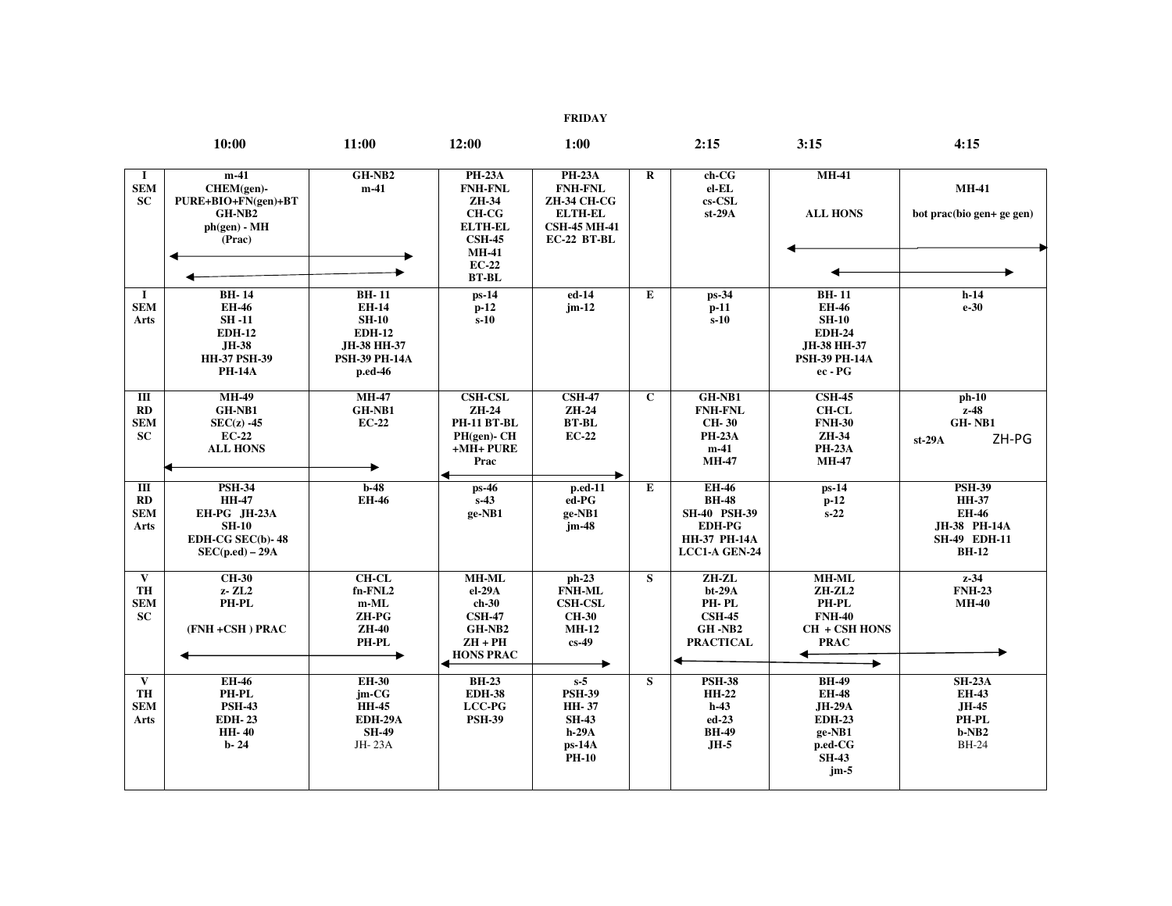**FRIDAY** 

|                                                      | 10:00                                                                                                          | 11:00                                                                                                           | 12:00                                                                                         | 1:00                                                                                                   |                | 2:15                                                                                                         | 3:15                                                                                                          | 4:15                                                                                                 |
|------------------------------------------------------|----------------------------------------------------------------------------------------------------------------|-----------------------------------------------------------------------------------------------------------------|-----------------------------------------------------------------------------------------------|--------------------------------------------------------------------------------------------------------|----------------|--------------------------------------------------------------------------------------------------------------|---------------------------------------------------------------------------------------------------------------|------------------------------------------------------------------------------------------------------|
| -1<br><b>SEM</b><br><b>SC</b>                        | $m-41$<br>CHEM(gen)-<br>PURE+BIO+FN(gen)+BT<br>GH-NB2<br>$ph(gen) - MH$<br>(Prac)                              | GH-NB2<br>$m-41$                                                                                                | <b>PH-23A</b><br><b>FNH-FNL</b><br>ZH-34<br><b>CH-CG</b><br><b>ELTH-EL</b><br><b>CSH-45</b>   | <b>PH-23A</b><br><b>FNH-FNL</b><br>ZH-34 CH-CG<br><b>ELTH-EL</b><br><b>CSH-45 MH-41</b><br>EC-22 BT-BL | $\bf R$        | $ch-CG$<br>el-EL<br>$cs$ -CSL<br>$st-29A$                                                                    | <b>MH-41</b><br><b>ALL HONS</b>                                                                               | <b>MH-41</b><br>bot prac(bio gen+ ge gen)                                                            |
|                                                      |                                                                                                                |                                                                                                                 | <b>MH-41</b><br>$EC-22$<br><b>BT-BL</b>                                                       |                                                                                                        |                |                                                                                                              |                                                                                                               |                                                                                                      |
| -1<br><b>SEM</b><br>Arts                             | <b>BH-14</b><br><b>EH-46</b><br><b>SH-11</b><br><b>EDH-12</b><br>JH-38<br><b>HH-37 PSH-39</b><br><b>PH-14A</b> | <b>BH-11</b><br><b>EH-14</b><br><b>SH-10</b><br><b>EDH-12</b><br>JH-38 HH-37<br><b>PSH-39 PH-14A</b><br>p.ed-46 | $ps-14$<br>$p-12$<br>$s-10$                                                                   | ed-14<br>$jm-12$                                                                                       | E              | $ps-34$<br>$p-11$<br>$s-10$                                                                                  | <b>BH-11</b><br><b>EH-46</b><br><b>SH-10</b><br><b>EDH-24</b><br>JH-38 HH-37<br><b>PSH-39 PH-14A</b><br>ec-PG | $h-14$<br>$e-30$                                                                                     |
| Ш<br>RD<br><b>SEM</b><br>SC                          | <b>MH-49</b><br>GH-NB1<br>$SEC(z) -45$<br><b>EC-22</b><br><b>ALL HONS</b>                                      | $MH-47$<br>GH-NB1<br>$EC-22$                                                                                    | <b>CSH-CSL</b><br>ZH-24<br><b>PH-11 BT-BL</b><br>PH(gen)- CH<br>$+MH+PURE$<br>Prac            | <b>CSH-47</b><br>ZH-24<br><b>BT-BL</b><br>$EC-22$                                                      | $\overline{c}$ | GH-NB1<br><b>FNH-FNL</b><br><b>CH-30</b><br><b>PH-23A</b><br>$m-41$<br><b>MH-47</b>                          | <b>CSH-45</b><br><b>CH-CL</b><br><b>FNH-30</b><br>ZH-34<br><b>PH-23A</b><br><b>MH-47</b>                      | $ph-10$<br>$z-48$<br>GH-NB1<br>ZH-PG<br>$st-29A$                                                     |
| $\overline{III}$<br>RD<br><b>SEM</b><br><b>Arts</b>  | <b>PSH-34</b><br><b>HH-47</b><br>EH-PG JH-23A<br><b>SH-10</b><br>EDH-CG SEC(b)-48<br>$SEC(p.edu) - 29A$        | $b-48$<br>EH-46                                                                                                 | $ps-46$<br>$s-43$<br>ge-NB1                                                                   | $p.$ ed-11<br>ed-PG<br>ge-NB1<br>$jm-48$                                                               | E              | <b>EH-46</b><br><b>BH-48</b><br><b>SH-40 PSH-39</b><br><b>EDH-PG</b><br>НН-37 РН-14А<br><b>LCC1-A GEN-24</b> | $ps-14$<br>$p-12$<br>$s-22$                                                                                   | <b>PSH-39</b><br><b>HH-37</b><br><b>EH-46</b><br>JH-38 PH-14A<br><b>SH-49 EDH-11</b><br><b>BH-12</b> |
| $\mathbf{V}$<br><b>TH</b><br><b>SEM</b><br><b>SC</b> | $CH-30$<br>$z$ - ZL2<br>PH-PL<br>(FNH+CSH) PRAC                                                                | $CH-CL$<br>fn-FNL2<br>$m-ML$<br>ZH-PG<br>ZH-40<br>PH-PL                                                         | <b>MH-ML</b><br>el-29A<br>$ch-30$<br><b>CSH-47</b><br>GH-NB2<br>$ZH + PH$<br><b>HONS PRAC</b> | $ph-23$<br><b>FNH-ML</b><br><b>CSH-CSL</b><br><b>CH-30</b><br><b>MH-12</b><br>$cs-49$                  | S              | $ZH-ZL$<br>$bt-29A$<br>PH-PL<br><b>CSH-45</b><br>$GH - NB2$<br><b>PRACTICAL</b>                              | <b>MH-ML</b><br>ZH-ZL2<br><b>PH-PL</b><br><b>FNH-40</b><br>CH + CSH HONS<br><b>PRAC</b><br>►                  | $z-34$<br><b>FNH-23</b><br><b>MH-40</b>                                                              |
| $\mathbf{V}$<br><b>TH</b><br><b>SEM</b><br>Arts      | EH-46<br>$\mathbf{PH}\text{-}\mathbf{PL}$<br><b>PSH-43</b><br><b>EDH-23</b><br><b>HH-40</b><br>$b - 24$        | <b>EH-30</b><br>jm-CG<br><b>HH-45</b><br><b>EDH-29A</b><br><b>SH-49</b><br>JH-23A                               | <b>BH-23</b><br><b>EDH-38</b><br>LCC-PG<br><b>PSH-39</b>                                      | $s-5$<br><b>PSH-39</b><br><b>HH-37</b><br><b>SH-43</b><br>$h-29A$<br>ps-14A<br><b>PH-10</b>            | S              | <b>PSH-38</b><br><b>HH-22</b><br>$h-43$<br>$ed-23$<br><b>BH-49</b><br>$JH-5$                                 | <b>BH-49</b><br><b>EH-48</b><br><b>JH-29A</b><br><b>EDH-23</b><br>ge-NB1<br>p.ed-CG<br><b>SH-43</b><br>$jm-5$ | $SH-23A$<br><b>EH-43</b><br>JH-45<br>PH-PL<br>$b-NB2$<br><b>BH-24</b>                                |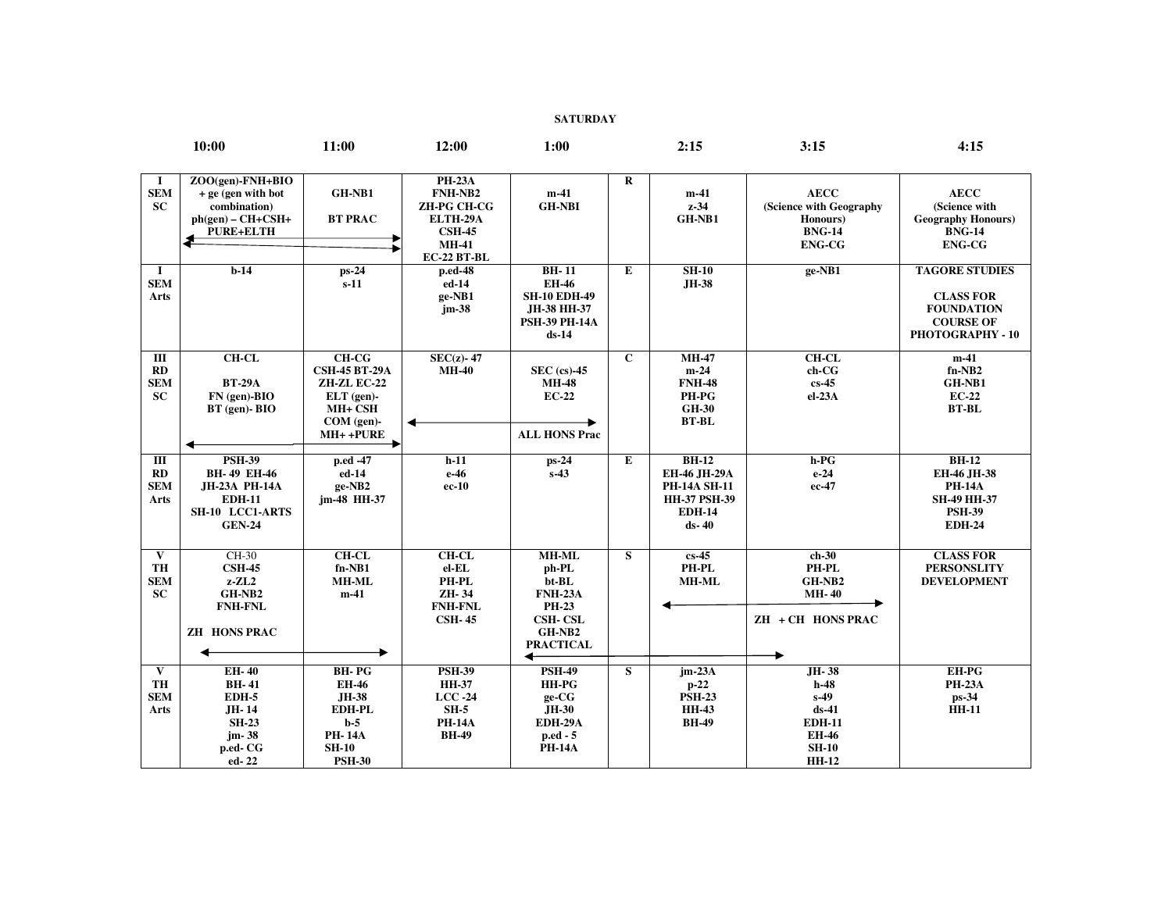**SATURDAY** 

|                                                      | 10:00                                                                                                            | 11:00                                                                                                             | 12:00                                                                                                             | 1:00                                                                                                                  |              | 2:15                                                                                                     | 3:15                                                                                                  | 4:15                                                                                                   |
|------------------------------------------------------|------------------------------------------------------------------------------------------------------------------|-------------------------------------------------------------------------------------------------------------------|-------------------------------------------------------------------------------------------------------------------|-----------------------------------------------------------------------------------------------------------------------|--------------|----------------------------------------------------------------------------------------------------------|-------------------------------------------------------------------------------------------------------|--------------------------------------------------------------------------------------------------------|
| -1<br><b>SEM</b><br><b>SC</b>                        | ZOO(gen)-FNH+BIO<br>$+$ ge (gen with bot<br>combination)<br>$ph(gen) - CH + CSH+$<br>PURE+ELTH                   | GH-NB1<br><b>BT PRAC</b>                                                                                          | <b>PH-23A</b><br>FNH-NB2<br><b>ZH-PG CH-CG</b><br>ELTH-29A<br><b>CSH-45</b><br><b>MH-41</b><br><b>EC-22 BT-BL</b> | $m-41$<br><b>GH-NBI</b>                                                                                               | $\bf{R}$     | $m-41$<br>$z-34$<br>GH-NB1                                                                               | <b>AECC</b><br>(Science with Geography<br>Honours)<br><b>BNG-14</b><br><b>ENG-CG</b>                  | <b>AECC</b><br>(Science with<br><b>Geography Honours)</b><br><b>BNG-14</b><br><b>ENG-CG</b>            |
| $\bf{I}$<br><b>SEM</b><br><b>Arts</b>                | $b-14$                                                                                                           | ps-24<br>$s-11$                                                                                                   | p.ed-48<br>$ed-14$<br>ge-NB1<br>$jm-38$                                                                           | <b>BH-11</b><br><b>EH-46</b><br><b>SH-10 EDH-49</b><br>JH-38 HH-37<br><b>PSH-39 PH-14A</b><br>$ds-14$                 | Е            | $SH-10$<br>JH-38                                                                                         | ge-NB1                                                                                                | <b>TAGORE STUDIES</b><br><b>CLASS FOR</b><br><b>FOUNDATION</b><br><b>COURSE OF</b><br>PHOTOGRAPHY - 10 |
| Ш<br>RD<br><b>SEM</b><br><b>SC</b>                   | <b>CH-CL</b><br><b>BT-29A</b><br>$FN$ (gen)-BIO<br>$BT$ (gen)- $BIO$<br>◀                                        | $CH-CG$<br><b>CSH-45 BT-29A</b><br>ZH-ZL EC-22<br>$ELT$ (gen)-<br>MH+ CSH<br>COM (gen)-<br>$MH++PURE$             | $SEC(z) - 47$<br><b>MH-40</b>                                                                                     | $SEC (cs)-45$<br><b>MH-48</b><br><b>EC-22</b><br><b>ALL HONS Prac</b>                                                 | $\mathbf{C}$ | $MH-47$<br>$m-24$<br><b>FNH-48</b><br>PH-PG<br><b>GH-30</b><br><b>BT-BL</b>                              | $CH-CL$<br>ch-CG<br>$cs-45$<br>el-23A                                                                 | $m-41$<br>$fn-NB2$<br>GH-NB1<br>$EC-22$<br><b>BT-BL</b>                                                |
| Ш<br>RD<br><b>SEM</b><br>Arts                        | <b>PSH-39</b><br><b>BH-49 EH-46</b><br>JH-23A PH-14A<br><b>EDH-11</b><br><b>SH-10 LCC1-ARTS</b><br><b>GEN-24</b> | p.ed -47<br>ed-14<br>ge-NB2<br>jm-48 HH-37                                                                        | $h-11$<br>e-46<br>$ec-10$                                                                                         | $ps-24$<br>$s-43$                                                                                                     | $\bf E$      | <b>BH-12</b><br>EH-46 JH-29A<br><b>PH-14A SH-11</b><br><b>HH-37 PSH-39</b><br><b>EDH-14</b><br>$ds - 40$ | h-PG<br>$e-24$<br>ec-47                                                                               | <b>BH-12</b><br>EH-46 JH-38<br><b>PH-14A</b><br><b>SH-49 HH-37</b><br><b>PSH-39</b><br><b>EDH-24</b>   |
| $\mathbf{V}$<br><b>TH</b><br><b>SEM</b><br><b>SC</b> | CH-30<br>$\text{CSH-45}$<br>$z$ - $ZL2$<br>GH-NB2<br><b>FNH-FNL</b><br><b>ZH HONS PRAC</b>                       | $CH-CL$<br>$fn-NB1$<br><b>MH-ML</b><br>$m-41$                                                                     | $CH-CL$<br>$el$ - $EL$<br>PH-PL<br>ZH-34<br><b>FNH-FNL</b><br><b>CSH-45</b>                                       | <b>MH-ML</b><br>ph-PL<br>bt-BL<br><b>FNH-23A</b><br><b>PH-23</b><br><b>CSH-CSL</b><br>GH-NB2<br><b>PRACTICAL</b><br>↞ | S            | $cs-45$<br>PH-PL<br><b>MH-ML</b>                                                                         | $ch-30$<br>PH-PL<br>GH-NB2<br><b>MH-40</b><br>ZH + CH HONS PRAC                                       | <b>CLASS FOR</b><br><b>PERSONSLITY</b><br><b>DEVELOPMENT</b>                                           |
| $\overline{\mathbf{v}}$<br>TH<br><b>SEM</b><br>Arts  | <b>EH-40</b><br><b>BH-41</b><br>EDH-5<br>JH-14<br><b>SH-23</b><br>jm-38<br>p.ed-CG<br>ed-22                      | <b>BH-PG</b><br><b>EH-46</b><br><b>JH-38</b><br>EDH-PL<br>$b-5$<br><b>PH-14A</b><br><b>SH-10</b><br><b>PSH-30</b> | <b>PSH-39</b><br><b>HH-37</b><br>$LCC - 24$<br>$SH-5$<br><b>PH-14A</b><br><b>BH-49</b>                            | <b>PSH-49</b><br><b>HH-PG</b><br>ge-CG<br>JH-30<br><b>EDH-29A</b><br>p.ed - 5<br><b>PH-14A</b>                        | S            | $jm-23A$<br>$p-22$<br><b>PSH-23</b><br><b>HH-43</b><br><b>BH-49</b>                                      | JH-38<br>$h-48$<br>$s-49$<br>$ds-41$<br><b>EDH-11</b><br><b>EH-46</b><br><b>SH-10</b><br><b>HH-12</b> | <b>EH-PG</b><br><b>PH-23A</b><br>ps-34<br><b>HH-11</b>                                                 |